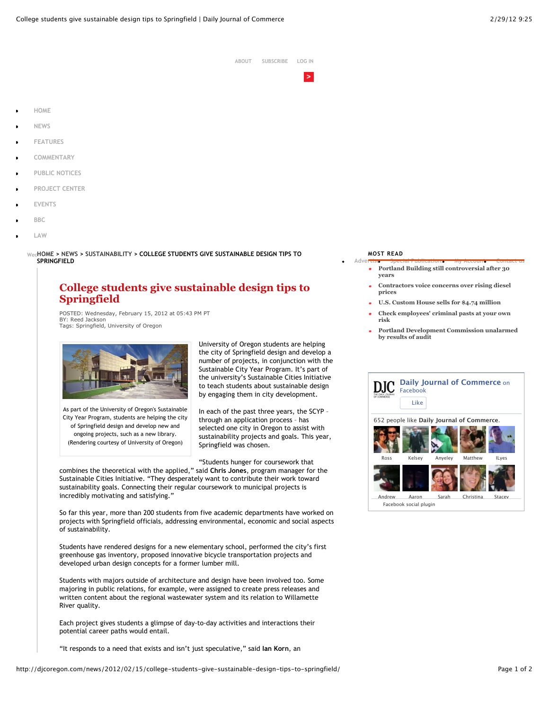| about | <b>SUBSCRIBE</b> | <b>LOG IN</b> |  |
|-------|------------------|---------------|--|
|       |                  |               |  |

- **HOME**
- **NEWS**
- **FEATURES**
- **COMMENTARY**
- **PUBLIC NOTICES**
- **PROJECT CENTER**
- **EVENTS**
- **BBC**
- **LAW**

**Wednesday February 29, 2012 HOME > NEWS > SUSTAINABILITY > COLLEGE STUDENTS GIVE SUSTAINABLE DESIGN TIPS TO SPRINGFIELD**

## **College students give sustainable design tips to Springfield**

POSTED: Wednesday, February 15, 2012 at 05:43 PM PT BY: Reed Jackson Tags: Springfield, University of Oregon



As part of the University of Oregon's Sustainable City Year Program, students are helping the city of Springfield design and develop new and ongoing projects, such as a new library. (Rendering courtesy of University of Oregon)

University of Oregon students are helping the city of Springfield design and develop a number of projects, in conjunction with the Sustainable City Year Program. It's part of the university's Sustainable Cities Initiative to teach students about sustainable design by engaging them in city development.

In each of the past three years, the SCYP – through an application process – has selected one city in Oregon to assist with sustainability projects and goals. This year, Springfield was chosen.

"Students hunger for coursework that

combines the theoretical with the applied," said **Chris Jones**, program manager for the Sustainable Cities Initiative. "They desperately want to contribute their work toward sustainability goals. Connecting their regular coursework to municipal projects is incredibly motivating and satisfying."

So far this year, more than 200 students from five academic departments have worked on projects with Springfield officials, addressing environmental, economic and social aspects of sustainability.

Students have rendered designs for a new elementary school, performed the city's first greenhouse gas inventory, proposed innovative bicycle transportation projects and developed urban design concepts for a former lumber mill.

Students with majors outside of architecture and design have been involved too. Some majoring in public relations, for example, were assigned to create press releases and written content about the regional wastewater system and its relation to Willamette River quality.

Each project gives students a glimpse of day-to-day activities and interactions their potential career paths would entail.

"It responds to a need that exists and isn't just speculative," said **Ian Korn**, an

## **MOST READ**

- **Advertise Special Publications My Account Contact us Portland Building still controversial after 30**  $\bullet$ **years**
	- **Contractors voice concerns over rising diesel prices**
	- **U.S. Custom House sells for \$4.74 million**
	- **Check employees' criminal pasts at your own risk**
	- **Portland Development Commission unalarmed by results of audit**